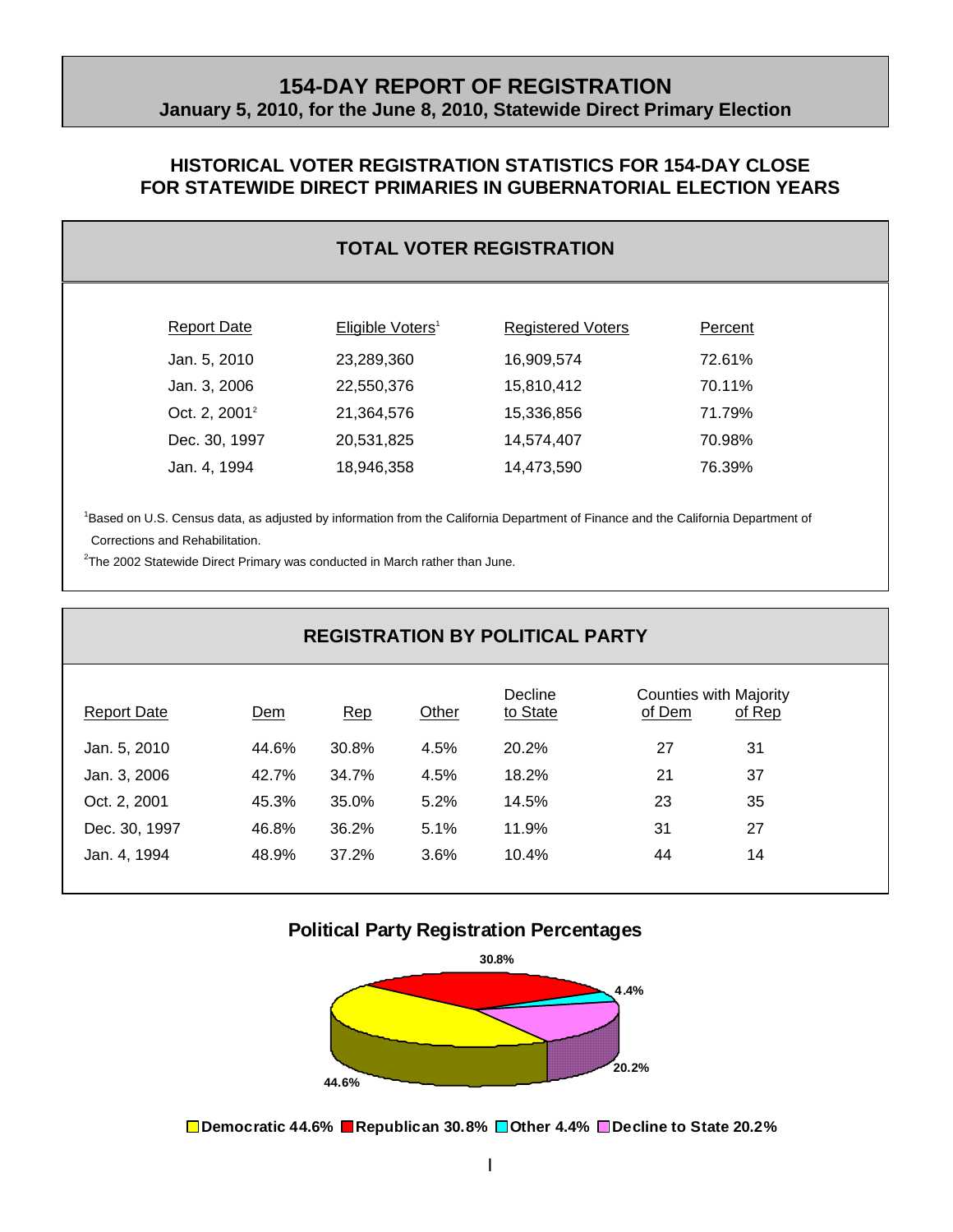# **154-DAY REPORT OF REGISTRATION January 5, 2010, for the June 8, 2010, Statewide Direct Primary Election**

## **HISTORICAL VOTER REGISTRATION STATISTICS FOR 154-DAY CLOSE FOR STATEWIDE DIRECT PRIMARIES IN GUBERNATORIAL ELECTION YEARS**

## **TOTAL VOTER REGISTRATION**

| Report Date               | Eligible Voters <sup>1</sup> | <b>Registered Voters</b> | Percent |
|---------------------------|------------------------------|--------------------------|---------|
| Jan. 5, 2010              | 23,289,360                   | 16,909,574               | 72.61%  |
| Jan. 3, 2006              | 22,550,376                   | 15,810,412               | 70.11%  |
| Oct. 2, 2001 <sup>2</sup> | 21,364,576                   | 15,336,856               | 71.79%  |
| Dec. 30, 1997             | 20,531,825                   | 14,574,407               | 70.98%  |
| Jan. 4, 1994              | 18,946,358                   | 14,473,590               | 76.39%  |

<sup>1</sup>Based on U.S. Census data, as adjusted by information from the California Department of Finance and the California Department of Corrections and Rehabilitation.

<sup>2</sup>The 2002 Statewide Direct Primary was conducted in March rather than June.

# **REGISTRATION BY POLITICAL PARTY**

| <b>Report Date</b> | Dem   | Rep   | Other | Decline<br>to State | <b>Counties with Majority</b><br>of Dem | of Rep |
|--------------------|-------|-------|-------|---------------------|-----------------------------------------|--------|
| Jan. 5, 2010       | 44.6% | 30.8% | 4.5%  | 20.2%               | 27                                      | 31     |
| Jan. 3, 2006       | 42.7% | 34.7% | 4.5%  | 18.2%               | 21                                      | 37     |
| Oct. 2, 2001       | 45.3% | 35.0% | 5.2%  | 14.5%               | 23                                      | 35     |
| Dec. 30, 1997      | 46.8% | 36.2% | 5.1%  | 11.9%               | 31                                      | 27     |
| Jan. 4, 1994       | 48.9% | 37.2% | 3.6%  | 10.4%               | 44                                      | 14     |
|                    |       |       |       |                     |                                         |        |

#### **Political Party Registration Percentages**



**Democratic 44.6% Republican 30.8% Other 4.4% Decline to State 20.2%**